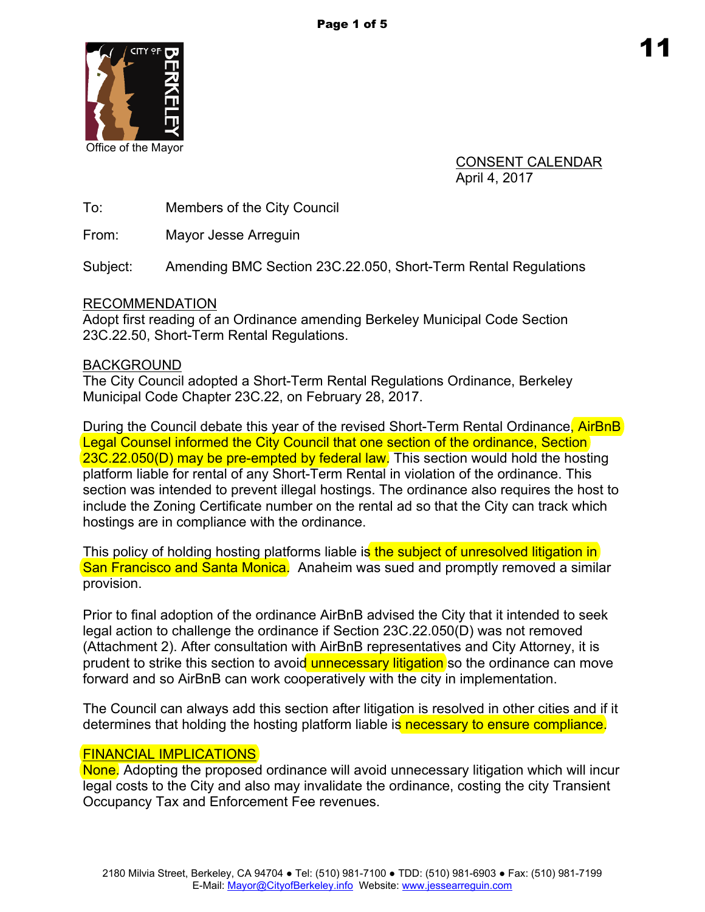

Office of the Mayor

CONSENT CALENDAR April 4, 2017

To: Members of the City Council

From: Mayor Jesse Arreguin

Subject: Amending BMC Section 23C.22.050, Short-Term Rental Regulations

### RECOMMENDATION

Adopt first reading of an Ordinance amending Berkeley Municipal Code Section 23C.22.50, Short-Term Rental Regulations.

# BACKGROUND

The City Council adopted a Short-Term Rental Regulations Ordinance, Berkeley Municipal Code Chapter 23C.22, on February 28, 2017.

During the Council debate this year of the revised Short-Term Rental Ordinance, AirBnB Legal Counsel informed the City Council that one section of the ordinance, Section 23C.22.050(D) may be pre-empted by federal law. This section would hold the hosting platform liable for rental of any Short-Term Rental in violation of the ordinance. This section was intended to prevent illegal hostings. The ordinance also requires the host to include the Zoning Certificate number on the rental ad so that the City can track which hostings are in compliance with the ordinance.

This policy of holding hosting platforms liable is the subject of unresolved litigation in San Francisco and Santa Monica. Anaheim was sued and promptly removed a similar provision.

Prior to final adoption of the ordinance AirBnB advised the City that it intended to seek legal action to challenge the ordinance if Section 23C.22.050(D) was not removed (Attachment 2). After consultation with AirBnB representatives and City Attorney, it is prudent to strike this section to avoid unnecessary litigation so the ordinance can move forward and so AirBnB can work cooperatively with the city in implementation.

The Council can always add this section after litigation is resolved in other cities and if it determines that holding the hosting platform liable is necessary to ensure compliance.

# FINANCIAL IMPLICATIONS

None. Adopting the proposed ordinance will avoid unnecessary litigation which will incur legal costs to the City and also may invalidate the ordinance, costing the city Transient Occupancy Tax and Enforcement Fee revenues.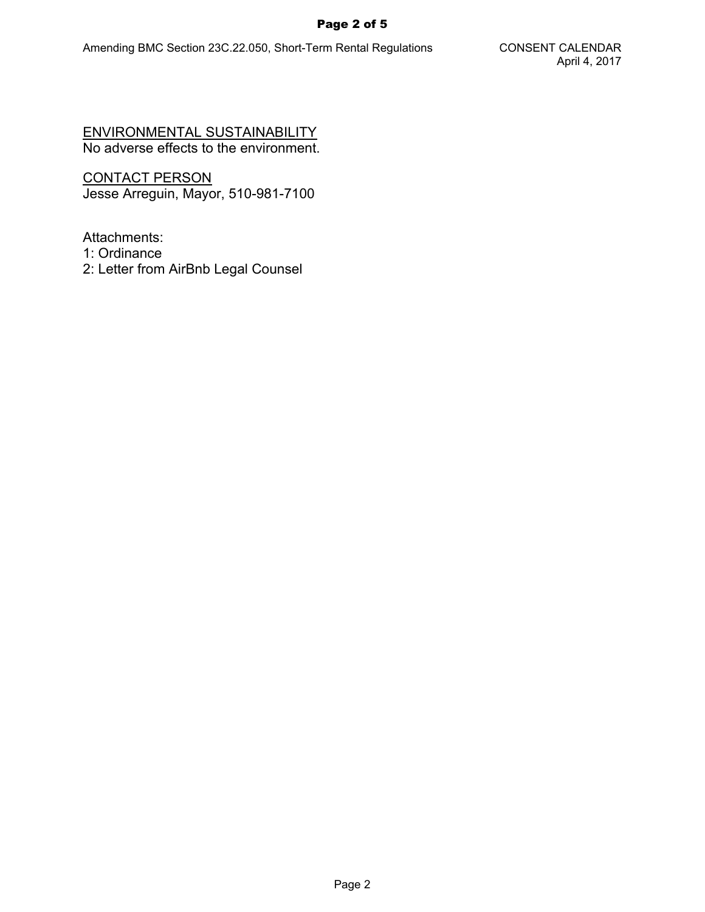#### Page 2 of 5

ENVIRONMENTAL SUSTAINABILITY No adverse effects to the environment.

CONTACT PERSON Jesse Arreguin, Mayor, 510-981-7100

Attachments:

- 1: Ordinance
- 2: Letter from AirBnb Legal Counsel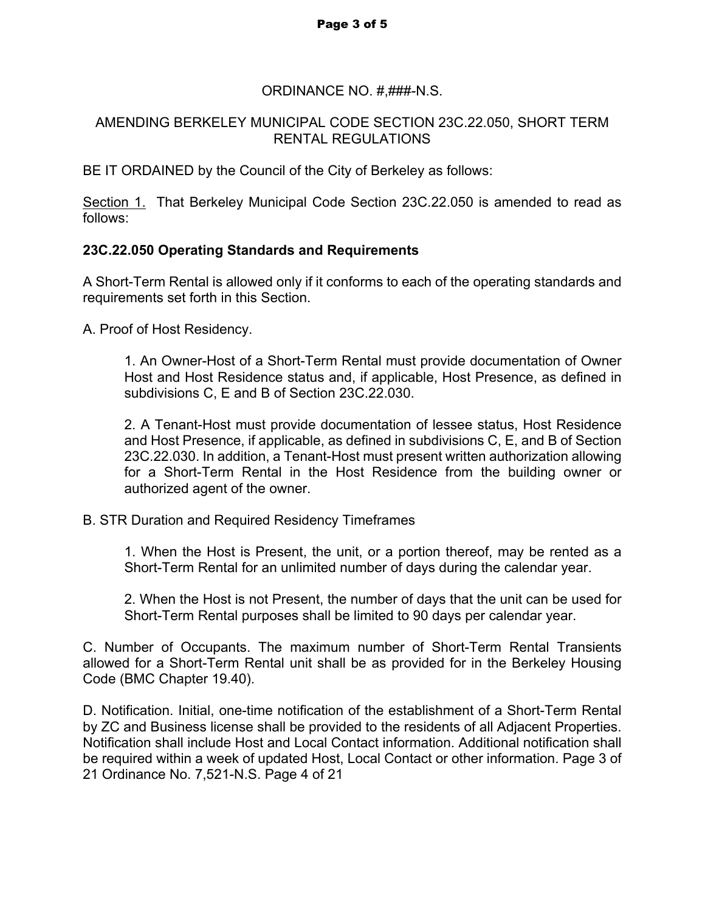### ORDINANCE NO. #,###-N.S.

### AMENDING BERKELEY MUNICIPAL CODE SECTION 23C.22.050, SHORT TERM RENTAL REGULATIONS

BE IT ORDAINED by the Council of the City of Berkeley as follows:

Section 1. That Berkeley Municipal Code Section 23C.22.050 is amended to read as follows:

# **23C.22.050 Operating Standards and Requirements**

A Short-Term Rental is allowed only if it conforms to each of the operating standards and requirements set forth in this Section.

A. Proof of Host Residency.

1. An Owner-Host of a Short-Term Rental must provide documentation of Owner Host and Host Residence status and, if applicable, Host Presence, as defined in subdivisions C, E and B of Section 23C.22.030.

2. A Tenant-Host must provide documentation of lessee status, Host Residence and Host Presence, if applicable, as defined in subdivisions C, E, and B of Section 23C.22.030. In addition, a Tenant-Host must present written authorization allowing for a Short-Term Rental in the Host Residence from the building owner or authorized agent of the owner.

B. STR Duration and Required Residency Timeframes

1. When the Host is Present, the unit, or a portion thereof, may be rented as a Short-Term Rental for an unlimited number of days during the calendar year.

2. When the Host is not Present, the number of days that the unit can be used for Short-Term Rental purposes shall be limited to 90 days per calendar year.

C. Number of Occupants. The maximum number of Short-Term Rental Transients allowed for a Short-Term Rental unit shall be as provided for in the Berkeley Housing Code (BMC Chapter 19.40).

D. Notification. Initial, one-time notification of the establishment of a Short-Term Rental by ZC and Business license shall be provided to the residents of all Adjacent Properties. Notification shall include Host and Local Contact information. Additional notification shall be required within a week of updated Host, Local Contact or other information. Page 3 of 21 Ordinance No. 7,521-N.S. Page 4 of 21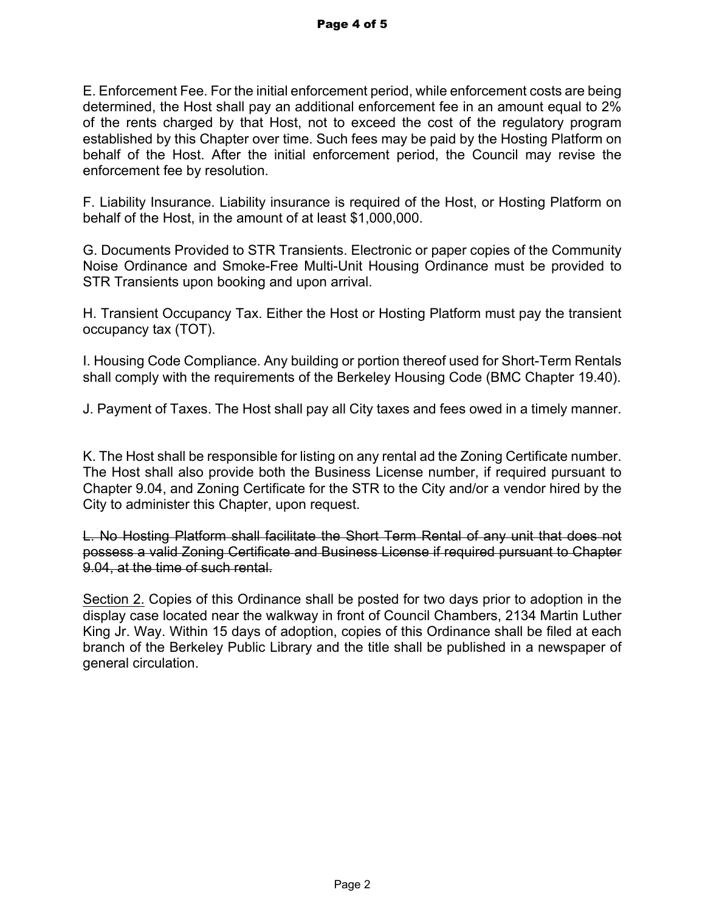E. Enforcement Fee. For the initial enforcement period, while enforcement costs are being determined, the Host shall pay an additional enforcement fee in an amount equal to 2% of the rents charged by that Host, not to exceed the cost of the regulatory program established by this Chapter over time. Such fees may be paid by the Hosting Platform on behalf of the Host. After the initial enforcement period, the Council may revise the enforcement fee by resolution.

F. Liability Insurance. Liability insurance is required of the Host, or Hosting Platform on behalf of the Host, in the amount of at least \$1,000,000.

G. Documents Provided to STR Transients. Electronic or paper copies of the Community Noise Ordinance and Smoke-Free Multi-Unit Housing Ordinance must be provided to STR Transients upon booking and upon arrival.

H. Transient Occupancy Tax. Either the Host or Hosting Platform must pay the transient occupancy tax (TOT).

I. Housing Code Compliance. Any building or portion thereof used for Short-Term Rentals shall comply with the requirements of the Berkeley Housing Code (BMC Chapter 19.40).

J. Payment of Taxes. The Host shall pay all City taxes and fees owed in a timely manner.

K. The Host shall be responsible for listing on any rental ad the Zoning Certificate number. The Host shall also provide both the Business License number, if required pursuant to Chapter 9.04, and Zoning Certificate for the STR to the City and/or a vendor hired by the City to administer this Chapter, upon request.

L. No Hosting Platform shall facilitate the Short Term Rental of any unit that does not possess a valid Zoning Certificate and Business License if required pursuant to Chapter 9.04, at the time of such rental.

Section 2. Copies of this Ordinance shall be posted for two days prior to adoption in the display case located near the walkway in front of Council Chambers, 2134 Martin Luther King Jr. Way. Within 15 days of adoption, copies of this Ordinance shall be filed at each branch of the Berkeley Public Library and the title shall be published in a newspaper of general circulation.